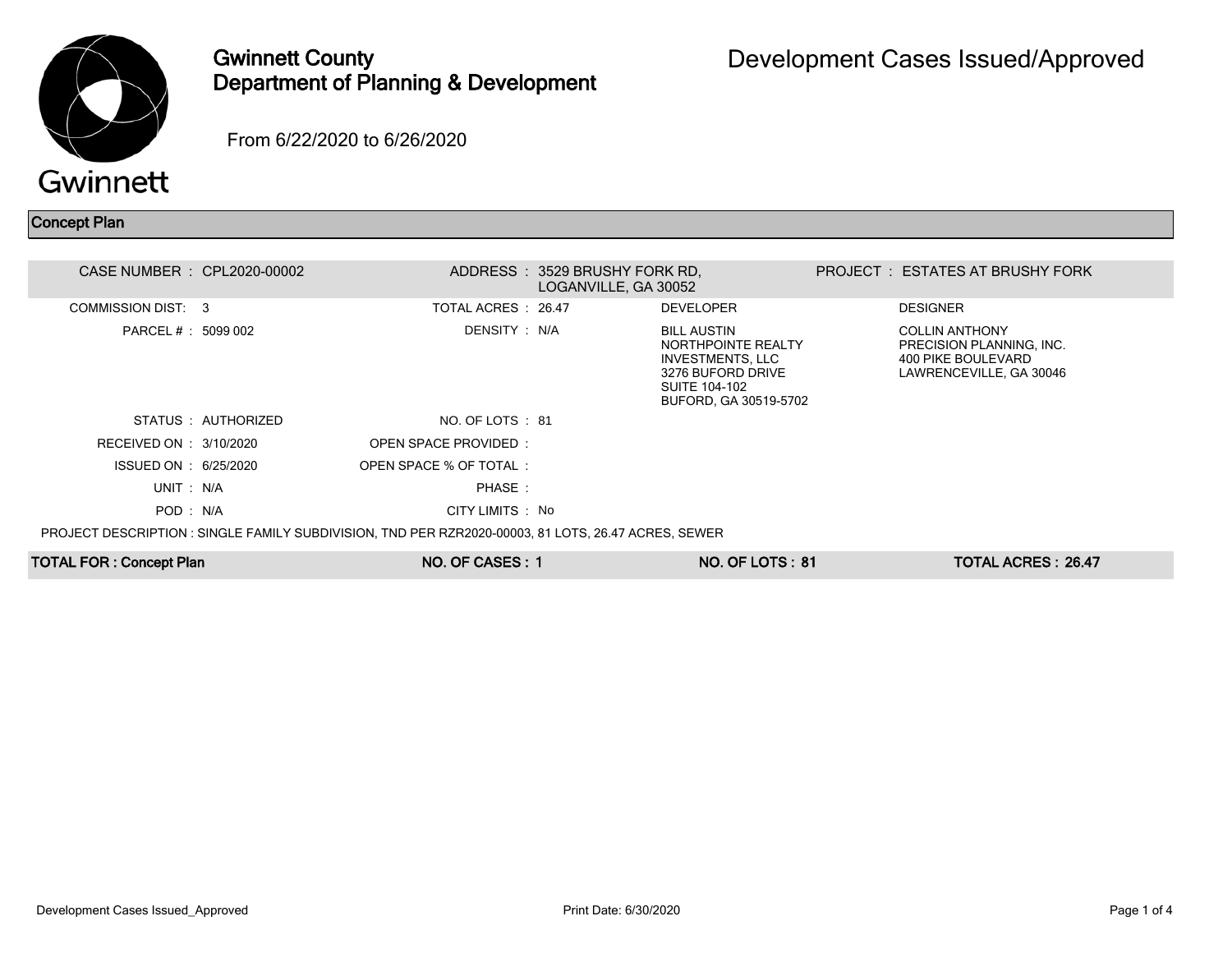

## Gwinnett County Department of Planning & Development

From 6/22/2020 to 6/26/2020

## Concept Plan

| CASE NUMBER : CPL2020-00002    |                     |                                                                                                     | ADDRESS: 3529 BRUSHY FORK RD.<br>LOGANVILLE, GA 30052 |                                                                                                                                           | PROJECT : ESTATES AT BRUSHY FORK                                                                   |  |
|--------------------------------|---------------------|-----------------------------------------------------------------------------------------------------|-------------------------------------------------------|-------------------------------------------------------------------------------------------------------------------------------------------|----------------------------------------------------------------------------------------------------|--|
| COMMISSION DIST: 3             |                     | TOTAL ACRES : 26.47                                                                                 |                                                       | <b>DEVELOPER</b>                                                                                                                          | <b>DESIGNER</b>                                                                                    |  |
| PARCEL # : 5099 002            |                     | DENSITY: N/A                                                                                        |                                                       | <b>BILL AUSTIN</b><br>NORTHPOINTE REALTY<br><b>INVESTMENTS, LLC</b><br>3276 BUFORD DRIVE<br><b>SUITE 104-102</b><br>BUFORD, GA 30519-5702 | <b>COLLIN ANTHONY</b><br>PRECISION PLANNING, INC.<br>400 PIKE BOULEVARD<br>LAWRENCEVILLE, GA 30046 |  |
|                                | STATUS : AUTHORIZED | NO. OF LOTS : 81                                                                                    |                                                       |                                                                                                                                           |                                                                                                    |  |
| RECEIVED ON : 3/10/2020        |                     | OPEN SPACE PROVIDED:                                                                                |                                                       |                                                                                                                                           |                                                                                                    |  |
| ISSUED ON : 6/25/2020          |                     | OPEN SPACE % OF TOTAL:                                                                              |                                                       |                                                                                                                                           |                                                                                                    |  |
| UNIT: N/A                      |                     | PHASE:                                                                                              |                                                       |                                                                                                                                           |                                                                                                    |  |
| POD: N/A                       |                     | CITY LIMITS : No                                                                                    |                                                       |                                                                                                                                           |                                                                                                    |  |
|                                |                     | PROJECT DESCRIPTION : SINGLE FAMILY SUBDIVISION, TND PER RZR2020-00003, 81 LOTS, 26.47 ACRES, SEWER |                                                       |                                                                                                                                           |                                                                                                    |  |
| <b>TOTAL FOR: Concept Plan</b> |                     | NO. OF CASES: 1                                                                                     |                                                       | <b>NO. OF LOTS: 81</b>                                                                                                                    | <b>TOTAL ACRES: 26.47</b>                                                                          |  |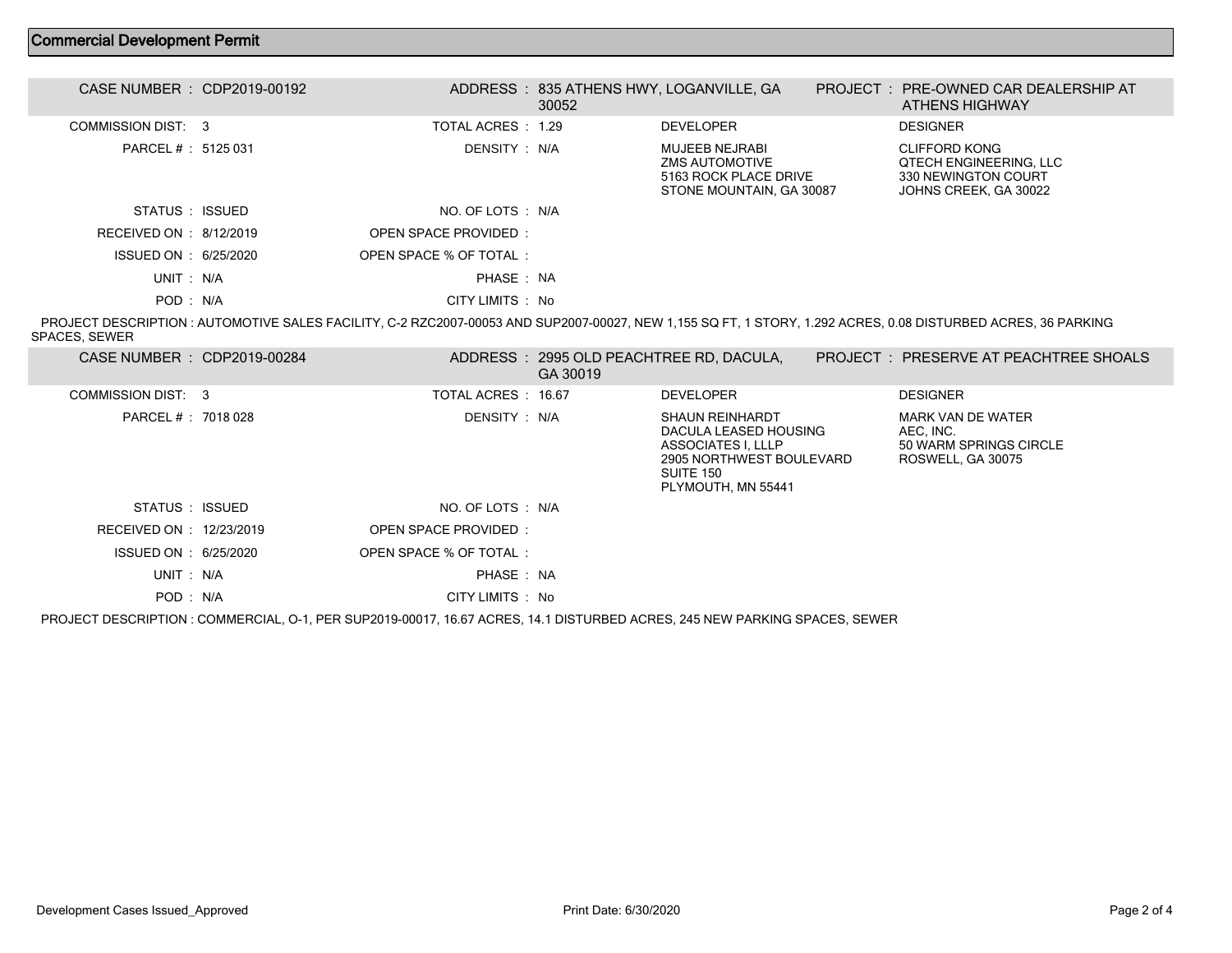## Commercial Development Permit

| CASE NUMBER : CDP2019-00192 |                        | 30052 | ADDRESS: 835 ATHENS HWY, LOGANVILLE, GA                                                      | PROJECT: PRE-OWNED CAR DEALERSHIP AT<br><b>ATHENS HIGHWAY</b>                                  |
|-----------------------------|------------------------|-------|----------------------------------------------------------------------------------------------|------------------------------------------------------------------------------------------------|
| COMMISSION DIST: 3          | TOTAL ACRES : 1.29     |       | <b>DEVELOPER</b>                                                                             | <b>DESIGNER</b>                                                                                |
| PARCEL #: 5125 031          | DENSITY : N/A          |       | <b>MUJEEB NEJRABI</b><br>ZMS AUTOMOTIVE<br>5163 ROCK PLACE DRIVE<br>STONE MOUNTAIN, GA 30087 | CLIFFORD KONG<br><b>QTECH ENGINEERING. LLC</b><br>330 NEWINGTON COURT<br>JOHNS CREEK, GA 30022 |
| STATUS : ISSUED             | NO. OF LOTS : N/A      |       |                                                                                              |                                                                                                |
| RECEIVED ON : $8/12/2019$   | OPEN SPACE PROVIDED:   |       |                                                                                              |                                                                                                |
| ISSUED ON : 6/25/2020       | OPEN SPACE % OF TOTAL: |       |                                                                                              |                                                                                                |
| UNIT: N/A                   | PHASE: NA              |       |                                                                                              |                                                                                                |
| POD: N/A                    | CITY LIMITS : No       |       |                                                                                              |                                                                                                |

 PROJECT DESCRIPTION : AUTOMOTIVE SALES FACILITY, C-2 RZC2007-00053 AND SUP2007-00027, NEW 1,155 SQ FT, 1 STORY, 1.292 ACRES, 0.08 DISTURBED ACRES, 36 PARKING SPACES, SEWER

| CASE NUMBER : CDP2019-00284 |                        | GA 30019 | ADDRESS : 2995 OLD PEACHTREE RD, DACULA,                                                                                                    | PROJECT: PRESERVE AT PEACHTREE SHOALS                                                |  |
|-----------------------------|------------------------|----------|---------------------------------------------------------------------------------------------------------------------------------------------|--------------------------------------------------------------------------------------|--|
| COMMISSION DIST: 3          | TOTAL ACRES : 16.67    |          | <b>DEVELOPER</b>                                                                                                                            | <b>DESIGNER</b>                                                                      |  |
| PARCEL # : 7018 028         | DENSITY : N/A          |          | <b>SHAUN REINHARDT</b><br>DACULA LEASED HOUSING<br><b>ASSOCIATES I, LLLP</b><br>2905 NORTHWEST BOULEVARD<br>SUITE 150<br>PLYMOUTH, MN 55441 | <b>MARK VAN DE WATER</b><br>AEC. INC.<br>50 WARM SPRINGS CIRCLE<br>ROSWELL, GA 30075 |  |
| STATUS : ISSUED             | NO. OF LOTS : N/A      |          |                                                                                                                                             |                                                                                      |  |
| RECEIVED ON : 12/23/2019    | OPEN SPACE PROVIDED:   |          |                                                                                                                                             |                                                                                      |  |
| ISSUED ON : 6/25/2020       | OPEN SPACE % OF TOTAL: |          |                                                                                                                                             |                                                                                      |  |
| UNIT: N/A                   | PHASE: NA              |          |                                                                                                                                             |                                                                                      |  |
| POD: N/A                    | CITY LIMITS : No       |          |                                                                                                                                             |                                                                                      |  |
|                             |                        |          |                                                                                                                                             |                                                                                      |  |

PROJECT DESCRIPTION : COMMERCIAL, O-1, PER SUP2019-00017, 16.67 ACRES, 14.1 DISTURBED ACRES, 245 NEW PARKING SPACES, SEWER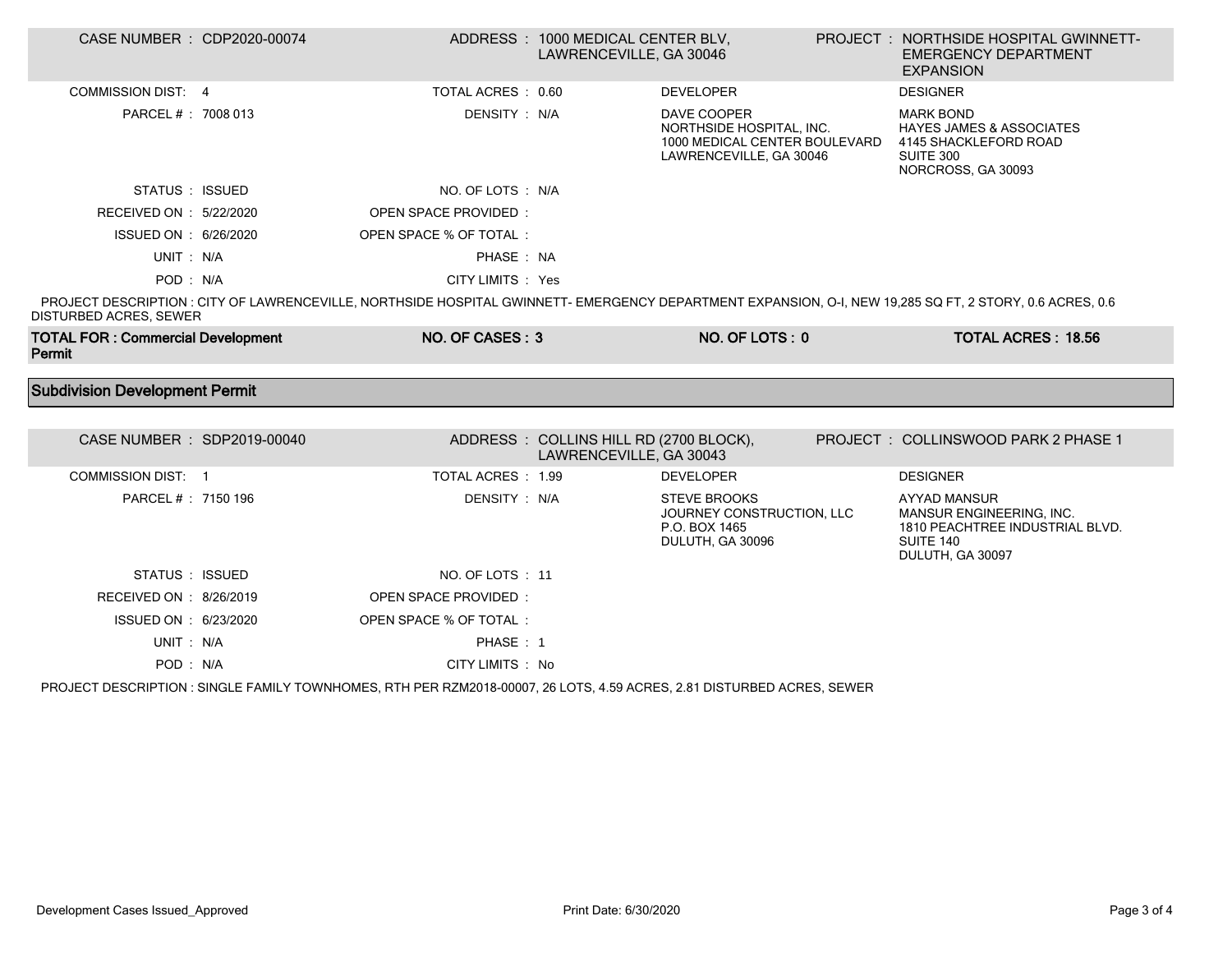| CASE NUMBER : CDP2020-00074<br>ADDRESS: 1000 MEDICAL CENTER BLV,<br>LAWRENCEVILLE, GA 30046<br><b>EMERGENCY DEPARTMENT</b><br><b>EXPANSION</b>                                                                                                                    | PROJECT : NORTHSIDE HOSPITAL GWINNETT- |
|-------------------------------------------------------------------------------------------------------------------------------------------------------------------------------------------------------------------------------------------------------------------|----------------------------------------|
| <b>COMMISSION DIST: 4</b><br>TOTAL ACRES : 0.60<br><b>DEVELOPER</b><br><b>DESIGNER</b>                                                                                                                                                                            |                                        |
| PARCEL # : 7008 013<br>DENSITY: N/A<br>DAVE COOPER<br><b>MARK BOND</b><br>NORTHSIDE HOSPITAL, INC.<br><b>HAYES JAMES &amp; ASSOCIATES</b><br>1000 MEDICAL CENTER BOULEVARD<br>4145 SHACKLEFORD ROAD<br>SUITE 300<br>LAWRENCEVILLE, GA 30046<br>NORCROSS, GA 30093 |                                        |
| NO. OF LOTS : N/A<br>STATUS : ISSUED                                                                                                                                                                                                                              |                                        |
| RECEIVED ON : 5/22/2020<br><b>OPEN SPACE PROVIDED:</b>                                                                                                                                                                                                            |                                        |
| ISSUED ON : 6/26/2020<br>OPEN SPACE % OF TOTAL :                                                                                                                                                                                                                  |                                        |
| UNIT: N/A<br>PHASE : NA                                                                                                                                                                                                                                           |                                        |
| CITY LIMITS : Yes<br>POD: N/A                                                                                                                                                                                                                                     |                                        |
| PROJECT DESCRIPTION : CITY OF LAWRENCEVILLE, NORTHSIDE HOSPITAL GWINNETT- EMERGENCY DEPARTMENT EXPANSION, O-I, NEW 19,285 SQ FT, 2 STORY, 0.6 ACRES, 0.6<br>DISTURBED ACRES, SEWER                                                                                |                                        |
|                                                                                                                                                                                                                                                                   |                                        |
| <b>TOTAL FOR: Commercial Development</b><br>NO. OF CASES: 3<br>NO. OF LOTS: 0<br>Permit                                                                                                                                                                           | <b>TOTAL ACRES: 18.56</b>              |
|                                                                                                                                                                                                                                                                   |                                        |
| <b>Subdivision Development Permit</b>                                                                                                                                                                                                                             |                                        |
|                                                                                                                                                                                                                                                                   |                                        |
| CASE NUMBER : SDP2019-00040<br>ADDRESS: COLLINS HILL RD (2700 BLOCK),<br>PROJECT : COLLINSWOOD PARK 2 PHASE 1<br>LAWRENCEVILLE, GA 30043                                                                                                                          |                                        |
| COMMISSION DIST: 1<br>TOTAL ACRES: 1.99<br><b>DEVELOPER</b><br><b>DESIGNER</b>                                                                                                                                                                                    |                                        |
| PARCEL # : 7150 196<br>DENSITY: N/A<br><b>STEVE BROOKS</b><br><b>AYYAD MANSUR</b><br>JOURNEY CONSTRUCTION, LLC<br><b>MANSUR ENGINEERING. INC.</b><br>P.O. BOX 1465<br>DULUTH, GA 30096<br>SUITE 140<br>DULUTH, GA 30097                                           | 1810 PEACHTREE INDUSTRIAL BLVD.        |
| NO. OF LOTS: 11<br>STATUS : ISSUED                                                                                                                                                                                                                                |                                        |
| RECEIVED ON : 8/26/2019<br><b>OPEN SPACE PROVIDED:</b>                                                                                                                                                                                                            |                                        |
| ISSUED ON : 6/23/2020<br>OPEN SPACE % OF TOTAL:                                                                                                                                                                                                                   |                                        |
| UNIT: N/A<br>PHASE: 1                                                                                                                                                                                                                                             |                                        |

PROJECT DESCRIPTION : SINGLE FAMILY TOWNHOMES, RTH PER RZM2018-00007, 26 LOTS, 4.59 ACRES, 2.81 DISTURBED ACRES, SEWER